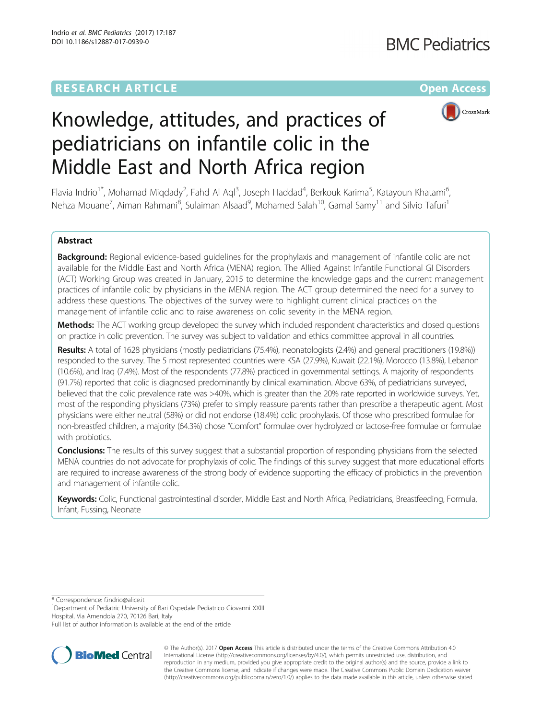# **RESEARCH ARTICLE Example 2014 12:30 The Community Community Community Community Community Community Community**



# Knowledge, attitudes, and practices of pediatricians on infantile colic in the Middle East and North Africa region

Flavia Indrio<sup>1\*</sup>, Mohamad Miqdady<sup>2</sup>, Fahd Al Aql<sup>3</sup>, Joseph Haddad<sup>4</sup>, Berkouk Karima<sup>5</sup>, Katayoun Khatami<sup>6</sup> , Nehza Mouane<sup>7</sup>, Aiman Rahmani<sup>8</sup>, Sulaiman Alsaad<sup>9</sup>, Mohamed Salah<sup>10</sup>, Gamal Samy<sup>11</sup> and Silvio Tafuri<sup>1</sup>

# Abstract

Background: Regional evidence-based guidelines for the prophylaxis and management of infantile colic are not available for the Middle East and North Africa (MENA) region. The Allied Against Infantile Functional GI Disorders (ACT) Working Group was created in January, 2015 to determine the knowledge gaps and the current management practices of infantile colic by physicians in the MENA region. The ACT group determined the need for a survey to address these questions. The objectives of the survey were to highlight current clinical practices on the management of infantile colic and to raise awareness on colic severity in the MENA region.

**Methods:** The ACT working group developed the survey which included respondent characteristics and closed questions on practice in colic prevention. The survey was subject to validation and ethics committee approval in all countries.

Results: A total of 1628 physicians (mostly pediatricians (75.4%), neonatologists (2.4%) and general practitioners (19.8%)) responded to the survey. The 5 most represented countries were KSA (27.9%), Kuwait (22.1%), Morocco (13.8%), Lebanon (10.6%), and Iraq (7.4%). Most of the respondents (77.8%) practiced in governmental settings. A majority of respondents (91.7%) reported that colic is diagnosed predominantly by clinical examination. Above 63%, of pediatricians surveyed, believed that the colic prevalence rate was >40%, which is greater than the 20% rate reported in worldwide surveys. Yet, most of the responding physicians (73%) prefer to simply reassure parents rather than prescribe a therapeutic agent. Most physicians were either neutral (58%) or did not endorse (18.4%) colic prophylaxis. Of those who prescribed formulae for non-breastfed children, a majority (64.3%) chose "Comfort" formulae over hydrolyzed or lactose-free formulae or formulae with probiotics.

Conclusions: The results of this survey suggest that a substantial proportion of responding physicians from the selected MENA countries do not advocate for prophylaxis of colic. The findings of this survey suggest that more educational efforts are required to increase awareness of the strong body of evidence supporting the efficacy of probiotics in the prevention and management of infantile colic.

Keywords: Colic, Functional gastrointestinal disorder, Middle East and North Africa, Pediatricians, Breastfeeding, Formula, Infant, Fussing, Neonate

\* Correspondence: [f.indrio@alice.it](mailto:f.indrio@alice.it) <sup>1</sup>

<sup>1</sup>Department of Pediatric University of Bari Ospedale Pediatrico Giovanni XXIII Hospital, Via Amendola 270, 70126 Bari, Italy

Full list of author information is available at the end of the article



© The Author(s). 2017 **Open Access** This article is distributed under the terms of the Creative Commons Attribution 4.0 International License [\(http://creativecommons.org/licenses/by/4.0/](http://creativecommons.org/licenses/by/4.0/)), which permits unrestricted use, distribution, and reproduction in any medium, provided you give appropriate credit to the original author(s) and the source, provide a link to the Creative Commons license, and indicate if changes were made. The Creative Commons Public Domain Dedication waiver [\(http://creativecommons.org/publicdomain/zero/1.0/](http://creativecommons.org/publicdomain/zero/1.0/)) applies to the data made available in this article, unless otherwise stated.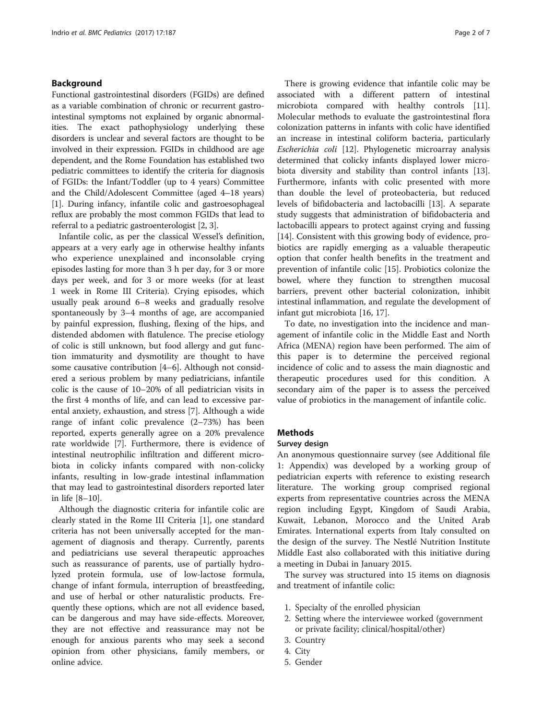# Background

Functional gastrointestinal disorders (FGIDs) are defined as a variable combination of chronic or recurrent gastrointestinal symptoms not explained by organic abnormalities. The exact pathophysiology underlying these disorders is unclear and several factors are thought to be involved in their expression. FGIDs in childhood are age dependent, and the Rome Foundation has established two pediatric committees to identify the criteria for diagnosis of FGIDs: the Infant/Toddler (up to 4 years) Committee and the Child/Adolescent Committee (aged 4–18 years) [[1\]](#page-5-0). During infancy, infantile colic and gastroesophageal reflux are probably the most common FGIDs that lead to referral to a pediatric gastroenterologist [[2](#page-6-0), [3\]](#page-6-0).

Infantile colic, as per the classical Wessel's definition, appears at a very early age in otherwise healthy infants who experience unexplained and inconsolable crying episodes lasting for more than 3 h per day, for 3 or more days per week, and for 3 or more weeks (for at least 1 week in Rome III Criteria). Crying episodes, which usually peak around 6–8 weeks and gradually resolve spontaneously by 3–4 months of age, are accompanied by painful expression, flushing, flexing of the hips, and distended abdomen with flatulence. The precise etiology of colic is still unknown, but food allergy and gut function immaturity and dysmotility are thought to have some causative contribution [\[4](#page-6-0)–[6](#page-6-0)]. Although not considered a serious problem by many pediatricians, infantile colic is the cause of 10–20% of all pediatrician visits in the first 4 months of life, and can lead to excessive parental anxiety, exhaustion, and stress [[7\]](#page-6-0). Although a wide range of infant colic prevalence (2–73%) has been reported, experts generally agree on a 20% prevalence rate worldwide [[7\]](#page-6-0). Furthermore, there is evidence of intestinal neutrophilic infiltration and different microbiota in colicky infants compared with non-colicky infants, resulting in low-grade intestinal inflammation that may lead to gastrointestinal disorders reported later in life [\[8](#page-6-0)–[10\]](#page-6-0).

Although the diagnostic criteria for infantile colic are clearly stated in the Rome III Criteria [[1](#page-5-0)], one standard criteria has not been universally accepted for the management of diagnosis and therapy. Currently, parents and pediatricians use several therapeutic approaches such as reassurance of parents, use of partially hydrolyzed protein formula, use of low-lactose formula, change of infant formula, interruption of breastfeeding, and use of herbal or other naturalistic products. Frequently these options, which are not all evidence based, can be dangerous and may have side-effects. Moreover, they are not effective and reassurance may not be enough for anxious parents who may seek a second opinion from other physicians, family members, or online advice.

There is growing evidence that infantile colic may be associated with a different pattern of intestinal microbiota compared with healthy controls [\[11](#page-6-0)]. Molecular methods to evaluate the gastrointestinal flora colonization patterns in infants with colic have identified an increase in intestinal coliform bacteria, particularly Escherichia coli [\[12\]](#page-6-0). Phylogenetic microarray analysis determined that colicky infants displayed lower microbiota diversity and stability than control infants [\[13](#page-6-0)]. Furthermore, infants with colic presented with more than double the level of proteobacteria, but reduced levels of bifidobacteria and lactobacilli [\[13](#page-6-0)]. A separate study suggests that administration of bifidobacteria and lactobacilli appears to protect against crying and fussing [[14\]](#page-6-0). Consistent with this growing body of evidence, probiotics are rapidly emerging as a valuable therapeutic option that confer health benefits in the treatment and prevention of infantile colic [[15](#page-6-0)]. Probiotics colonize the bowel, where they function to strengthen mucosal barriers, prevent other bacterial colonization, inhibit intestinal inflammation, and regulate the development of infant gut microbiota [[16, 17\]](#page-6-0).

To date, no investigation into the incidence and management of infantile colic in the Middle East and North Africa (MENA) region have been performed. The aim of this paper is to determine the perceived regional incidence of colic and to assess the main diagnostic and therapeutic procedures used for this condition. A secondary aim of the paper is to assess the perceived value of probiotics in the management of infantile colic.

## Methods

#### Survey design

An anonymous questionnaire survey (see Additional file [1:](#page-5-0) Appendix) was developed by a working group of pediatrician experts with reference to existing research literature. The working group comprised regional experts from representative countries across the MENA region including Egypt, Kingdom of Saudi Arabia, Kuwait, Lebanon, Morocco and the United Arab Emirates. International experts from Italy consulted on the design of the survey. The Nestlé Nutrition Institute Middle East also collaborated with this initiative during a meeting in Dubai in January 2015.

The survey was structured into 15 items on diagnosis and treatment of infantile colic:

- 1. Specialty of the enrolled physician
- 2. Setting where the interviewee worked (government or private facility; clinical/hospital/other)
- 3. Country
- 4. City
- 5. Gender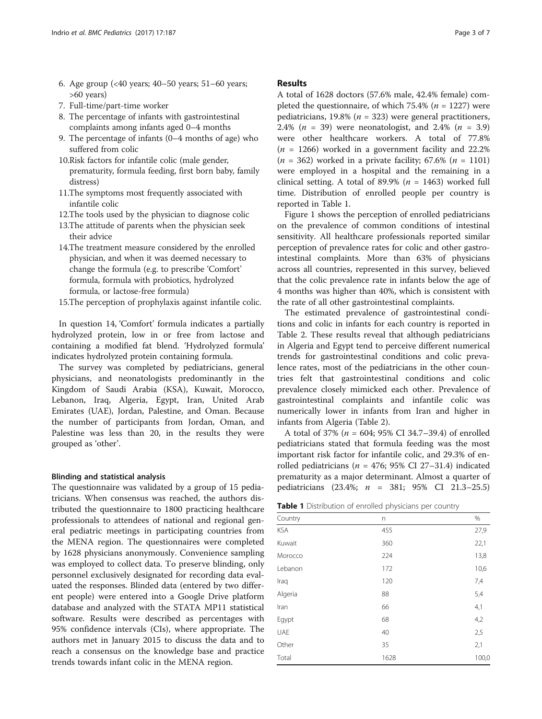- 6. Age group (<40 years; 40–50 years; 51–60 years; >60 years)
- 7. Full-time/part-time worker
- 8. The percentage of infants with gastrointestinal complaints among infants aged 0–4 months
- 9. The percentage of infants (0–4 months of age) who suffered from colic
- 10.Risk factors for infantile colic (male gender, prematurity, formula feeding, first born baby, family distress)
- 11.The symptoms most frequently associated with infantile colic
- 12.The tools used by the physician to diagnose colic
- 13.The attitude of parents when the physician seek their advice
- 14.The treatment measure considered by the enrolled physician, and when it was deemed necessary to change the formula (e.g. to prescribe 'Comfort' formula, formula with probiotics, hydrolyzed formula, or lactose-free formula)
- 15.The perception of prophylaxis against infantile colic.

In question 14, 'Comfort' formula indicates a partially hydrolyzed protein, low in or free from lactose and containing a modified fat blend. 'Hydrolyzed formula' indicates hydrolyzed protein containing formula.

The survey was completed by pediatricians, general physicians, and neonatologists predominantly in the Kingdom of Saudi Arabia (KSA), Kuwait, Morocco, Lebanon, Iraq, Algeria, Egypt, Iran, United Arab Emirates (UAE), Jordan, Palestine, and Oman. Because the number of participants from Jordan, Oman, and Palestine was less than 20, in the results they were grouped as 'other'.

#### Blinding and statistical analysis

The questionnaire was validated by a group of 15 pediatricians. When consensus was reached, the authors distributed the questionnaire to 1800 practicing healthcare professionals to attendees of national and regional general pediatric meetings in participating countries from the MENA region. The questionnaires were completed by 1628 physicians anonymously. Convenience sampling was employed to collect data. To preserve blinding, only personnel exclusively designated for recording data evaluated the responses. Blinded data (entered by two different people) were entered into a Google Drive platform database and analyzed with the STATA MP11 statistical software. Results were described as percentages with 95% confidence intervals (CIs), where appropriate. The authors met in January 2015 to discuss the data and to reach a consensus on the knowledge base and practice trends towards infant colic in the MENA region.

A total of 1628 doctors (57.6% male, 42.4% female) completed the questionnaire, of which  $75.4\%$  ( $n = 1227$ ) were pediatricians, 19.8% ( $n = 323$ ) were general practitioners, 2.4% ( $n = 39$ ) were neonatologist, and 2.4% ( $n = 3.9$ ) were other healthcare workers. A total of 77.8%  $(n = 1266)$  worked in a government facility and 22.2%  $(n = 362)$  worked in a private facility; 67.6%  $(n = 1101)$ were employed in a hospital and the remaining in a clinical setting. A total of 89.9% ( $n = 1463$ ) worked full time. Distribution of enrolled people per country is reported in Table 1.

Figure [1](#page-3-0) shows the perception of enrolled pediatricians on the prevalence of common conditions of intestinal sensitivity. All healthcare professionals reported similar perception of prevalence rates for colic and other gastrointestinal complaints. More than 63% of physicians across all countries, represented in this survey, believed that the colic prevalence rate in infants below the age of 4 months was higher than 40%, which is consistent with the rate of all other gastrointestinal complaints.

The estimated prevalence of gastrointestinal conditions and colic in infants for each country is reported in Table [2](#page-3-0). These results reveal that although pediatricians in Algeria and Egypt tend to perceive different numerical trends for gastrointestinal conditions and colic prevalence rates, most of the pediatricians in the other countries felt that gastrointestinal conditions and colic prevalence closely mimicked each other. Prevalence of gastrointestinal complaints and infantile colic was numerically lower in infants from Iran and higher in infants from Algeria (Table [2\)](#page-3-0).

A total of 37% ( $n = 604$ ; 95% CI 34.7–39.4) of enrolled pediatricians stated that formula feeding was the most important risk factor for infantile colic, and 29.3% of enrolled pediatricians ( $n = 476$ ; 95% CI 27-31.4) indicated prematurity as a major determinant. Almost a quarter of pediatricians (23.4%; n = 381; 95% CI 21.3–25.5)

|  |  | Table 1 Distribution of enrolled physicians per country |  |  |  |  |
|--|--|---------------------------------------------------------|--|--|--|--|
|--|--|---------------------------------------------------------|--|--|--|--|

| Country    | n    | $\%$  |
|------------|------|-------|
| <b>KSA</b> | 455  | 27,9  |
| Kuwait     | 360  | 22,1  |
| Morocco    | 224  | 13,8  |
| Lebanon    | 172  | 10,6  |
| Iraq       | 120  | 7,4   |
| Algeria    | 88   | 5,4   |
| Iran       | 66   | 4,1   |
| Egypt      | 68   | 4,2   |
| UAE        | 40   | 2,5   |
| Other      | 35   | 2,1   |
| Total      | 1628 | 100,0 |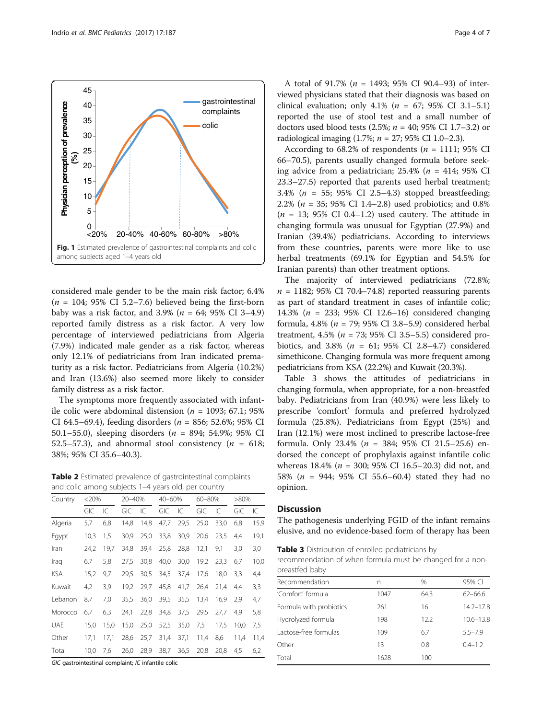considered male gender to be the main risk factor; 6.4%  $(n = 104; 95\% \text{ CI } 5.2-7.6)$  believed being the first-born baby was a risk factor, and 3.9% ( $n = 64$ ; 95% CI 3–4.9) reported family distress as a risk factor. A very low percentage of interviewed pediatricians from Algeria (7.9%) indicated male gender as a risk factor, whereas only 12.1% of pediatricians from Iran indicated prematurity as a risk factor. Pediatricians from Algeria (10.2%) and Iran (13.6%) also seemed more likely to consider family distress as a risk factor.

The symptoms more frequently associated with infantile colic were abdominal distension ( $n = 1093$ ; 67.1; 95% CI 64.5–69.4), feeding disorders ( $n = 856$ ; 52.6%; 95% CI 50.1–55.0), sleeping disorders (n = 894; 54.9%; 95% CI 52.5–57.3), and abnormal stool consistency ( $n = 618$ ; 38%; 95% CI 35.6–40.3).

Table 2 Estimated prevalence of gastrointestinal complaints and colic among subjects 1–4 years old, per country

| Country    | $< 20\%$ |      | 20-40% |      | 40-60% |      | 60-80% |      | $>80\%$ |      |
|------------|----------|------|--------|------|--------|------|--------|------|---------|------|
|            | GIC      | IС   | GIC    | IC   | GIC    | IC   | GIC    | IC   | GIC     | IC   |
| Algeria    | 5,7      | 6,8  | 14,8   | 14,8 | 47,7   | 29,5 | 25,0   | 33,0 | 6,8     | 15,9 |
| Egypt      | 10,3     | 1,5  | 30,9   | 25,0 | 33,8   | 30,9 | 20,6   | 23,5 | 4,4     | 19,1 |
| Iran       | 24,2     | 19,7 | 34,8   | 39,4 | 25,8   | 28,8 | 12,1   | 9,1  | 3,0     | 3,0  |
| Iraq       | 6,7      | 5,8  | 27,5   | 30,8 | 40,0   | 30,0 | 19,2   | 23,3 | 6,7     | 10,0 |
| KSA        | 15,2     | 9,7  | 29,5   | 30,5 | 34,5   | 37,4 | 17,6   | 18,0 | 3,3     | 4,4  |
| Kuwait     | 4,2      | 3,9  | 19,2   | 29,7 | 45,8   | 41,7 | 26,4   | 21.4 | 4,4     | 3,3  |
| Lebanon    | 8,7      | 7,0  | 35,5   | 36,0 | 39,5   | 35,5 | 13,4   | 16.9 | 2,9     | 4,7  |
| Morocco    | 6,7      | 6,3  | 24,1   | 22,8 | 34,8   | 37,5 | 29,5   | 27,7 | 4,9     | 5,8  |
| <b>UAE</b> | 15,0     | 15,0 | 15,0   | 25,0 | 52,5   | 35,0 | 7,5    | 17,5 | 10,0    | 7,5  |
| Other      | 17,1     | 17,1 | 28,6   | 25,7 | 31,4   | 37,1 | 11.4   | 8,6  | 11.4    | 11,4 |
| Total      | 10,0     | 7,6  | 26,0   | 28,9 | 38,7   | 36,5 | 20,8   | 20,8 | 4,5     | 6,2  |
|            |          |      |        |      |        |      |        |      |         |      |

GIC gastrointestinal complaint; IC infantile colic

A total of 91.7% ( $n = 1493$ ; 95% CI 90.4–93) of interviewed physicians stated that their diagnosis was based on clinical evaluation; only  $4.1\%$  ( $n = 67$ ; 95% CI 3.1-5.1) reported the use of stool test and a small number of doctors used blood tests (2.5%;  $n = 40$ ; 95% CI 1.7–3.2) or radiological imaging  $(1.7\%; n = 27; 95\% \text{ CI } 1.0-2.3)$ .

According to 68.2% of respondents ( $n = 1111$ ; 95% CI 66–70.5), parents usually changed formula before seeking advice from a pediatrician;  $25.4\%$  ( $n = 414$ ; 95% CI 23.3–27.5) reported that parents used herbal treatment; 3.4% (n = 55; 95% CI 2.5–4.3) stopped breastfeeding; 2.2% ( $n = 35$ ; 95% CI 1.4–2.8) used probiotics; and 0.8%  $(n = 13; 95\% \text{ CI } 0.4-1.2)$  used cautery. The attitude in changing formula was unusual for Egyptian (27.9%) and Iranian (39.4%) pediatricians. According to interviews from these countries, parents were more like to use herbal treatments (69.1% for Egyptian and 54.5% for Iranian parents) than other treatment options.

The majority of interviewed pediatricians (72.8%;  $n = 1182$ ; 95% CI 70.4–74.8) reported reassuring parents as part of standard treatment in cases of infantile colic; 14.3% (n = 233; 95% CI 12.6–16) considered changing formula, 4.8% (n = 79; 95% CI 3.8–5.9) considered herbal treatment, 4.5% ( $n = 73$ ; 95% CI 3.5-5.5) considered probiotics, and 3.8% ( $n = 61$ ; 95% CI 2.8-4.7) considered simethicone. Changing formula was more frequent among pediatricians from KSA (22.2%) and Kuwait (20.3%).

Table 3 shows the attitudes of pediatricians in changing formula, when appropriate, for a non-breastfed baby. Pediatricians from Iran (40.9%) were less likely to prescribe 'comfort' formula and preferred hydrolyzed formula (25.8%). Pediatricians from Egypt (25%) and Iran (12.1%) were most inclined to prescribe lactose-free formula. Only 23.4% (n = 384; 95% CI 21.5–25.6) endorsed the concept of prophylaxis against infantile colic whereas  $18.4\%$  ( $n = 300$ ;  $95\%$  CI 16.5–20.3) did not, and 58% (n = 944; 95% CI 55.6–60.4) stated they had no opinion.

# **Discussion**

The pathogenesis underlying FGID of the infant remains elusive, and no evidence-based form of therapy has been

Table 3 Distribution of enrolled pediatricians by

recommendation of when formula must be changed for a nonbreastfed baby

| Recommendation          | n    | $\%$ | 95% CI        |  |
|-------------------------|------|------|---------------|--|
| 'Comfort' formula       | 1047 | 64.3 | $62 - 66.6$   |  |
| Formula with probiotics | 261  | 16   | $14.2 - 17.8$ |  |
| Hydrolyzed formula      | 198  | 12.2 | $10.6 - 13.8$ |  |
| Lactose-free formulas   | 109  | 6.7  | $5.5 - 7.9$   |  |
| Other                   | 13   | 0.8  | $0.4 - 1.2$   |  |
| Total                   | 1628 | 100  |               |  |

<span id="page-3-0"></span>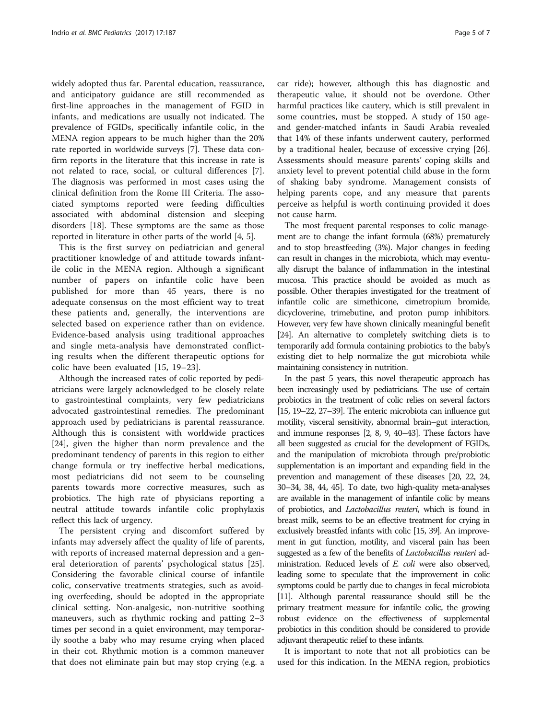widely adopted thus far. Parental education, reassurance, and anticipatory guidance are still recommended as first-line approaches in the management of FGID in infants, and medications are usually not indicated. The prevalence of FGIDs, specifically infantile colic, in the MENA region appears to be much higher than the 20% rate reported in worldwide surveys [\[7](#page-6-0)]. These data confirm reports in the literature that this increase in rate is not related to race, social, or cultural differences [\[7](#page-6-0)]. The diagnosis was performed in most cases using the clinical definition from the Rome III Criteria. The associated symptoms reported were feeding difficulties associated with abdominal distension and sleeping disorders [[18\]](#page-6-0). These symptoms are the same as those reported in literature in other parts of the world [[4, 5\]](#page-6-0).

This is the first survey on pediatrician and general practitioner knowledge of and attitude towards infantile colic in the MENA region. Although a significant number of papers on infantile colic have been published for more than 45 years, there is no adequate consensus on the most efficient way to treat these patients and, generally, the interventions are selected based on experience rather than on evidence. Evidence-based analysis using traditional approaches and single meta-analysis have demonstrated conflicting results when the different therapeutic options for colic have been evaluated [[15, 19](#page-6-0)–[23](#page-6-0)].

Although the increased rates of colic reported by pediatricians were largely acknowledged to be closely relate to gastrointestinal complaints, very few pediatricians advocated gastrointestinal remedies. The predominant approach used by pediatricians is parental reassurance. Although this is consistent with worldwide practices [[24\]](#page-6-0), given the higher than norm prevalence and the predominant tendency of parents in this region to either change formula or try ineffective herbal medications, most pediatricians did not seem to be counseling parents towards more corrective measures, such as probiotics. The high rate of physicians reporting a neutral attitude towards infantile colic prophylaxis reflect this lack of urgency.

The persistent crying and discomfort suffered by infants may adversely affect the quality of life of parents, with reports of increased maternal depression and a general deterioration of parents' psychological status [\[25](#page-6-0)]. Considering the favorable clinical course of infantile colic, conservative treatments strategies, such as avoiding overfeeding, should be adopted in the appropriate clinical setting. Non-analgesic, non-nutritive soothing maneuvers, such as rhythmic rocking and patting 2–3 times per second in a quiet environment, may temporarily soothe a baby who may resume crying when placed in their cot. Rhythmic motion is a common maneuver that does not eliminate pain but may stop crying (e.g. a

car ride); however, although this has diagnostic and therapeutic value, it should not be overdone. Other harmful practices like cautery, which is still prevalent in some countries, must be stopped. A study of 150 ageand gender-matched infants in Saudi Arabia revealed that 14% of these infants underwent cautery, performed by a traditional healer, because of excessive crying [\[26](#page-6-0)]. Assessments should measure parents' coping skills and anxiety level to prevent potential child abuse in the form of shaking baby syndrome. Management consists of helping parents cope, and any measure that parents perceive as helpful is worth continuing provided it does not cause harm.

The most frequent parental responses to colic management are to change the infant formula (68%) prematurely and to stop breastfeeding (3%). Major changes in feeding can result in changes in the microbiota, which may eventually disrupt the balance of inflammation in the intestinal mucosa. This practice should be avoided as much as possible. Other therapies investigated for the treatment of infantile colic are simethicone, cimetropium bromide, dicycloverine, trimebutine, and proton pump inhibitors. However, very few have shown clinically meaningful benefit [[24](#page-6-0)]. An alternative to completely switching diets is to temporarily add formula containing probiotics to the baby's existing diet to help normalize the gut microbiota while maintaining consistency in nutrition.

In the past 5 years, this novel therapeutic approach has been increasingly used by pediatricians. The use of certain probiotics in the treatment of colic relies on several factors [[15, 19](#page-6-0)–[22](#page-6-0), [27](#page-6-0)–[39](#page-6-0)]. The enteric microbiota can influence gut motility, visceral sensitivity, abnormal brain–gut interaction, and immune responses [\[2, 8, 9](#page-6-0), [40](#page-6-0)–[43\]](#page-6-0). These factors have all been suggested as crucial for the development of FGIDs, and the manipulation of microbiota through pre/probiotic supplementation is an important and expanding field in the prevention and management of these diseases [\[20](#page-6-0), [22, 24](#page-6-0), [30](#page-6-0)–[34, 38, 44](#page-6-0), [45](#page-6-0)]. To date, two high-quality meta-analyses are available in the management of infantile colic by means of probiotics, and Lactobacillus reuteri, which is found in breast milk, seems to be an effective treatment for crying in exclusively breastfed infants with colic [\[15, 39\]](#page-6-0). An improvement in gut function, motility, and visceral pain has been suggested as a few of the benefits of *Lactobacillus reuteri* administration. Reduced levels of E. coli were also observed, leading some to speculate that the improvement in colic symptoms could be partly due to changes in fecal microbiota [[11\]](#page-6-0). Although parental reassurance should still be the primary treatment measure for infantile colic, the growing robust evidence on the effectiveness of supplemental probiotics in this condition should be considered to provide adjuvant therapeutic relief to these infants.

It is important to note that not all probiotics can be used for this indication. In the MENA region, probiotics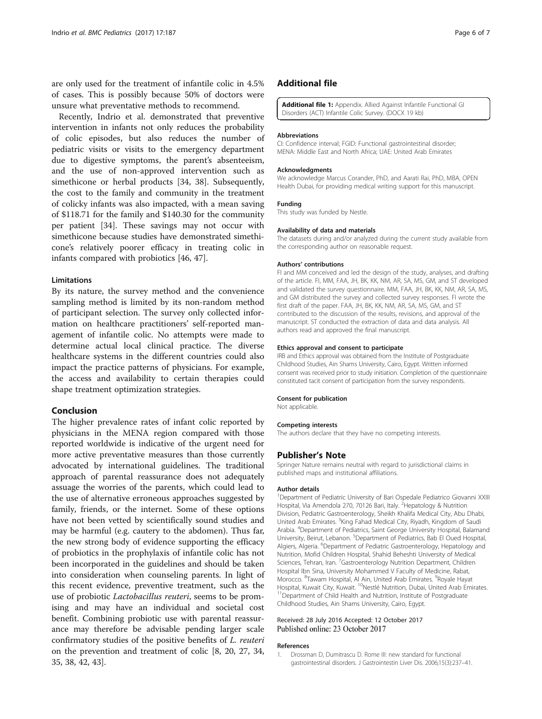<span id="page-5-0"></span>are only used for the treatment of infantile colic in 4.5% of cases. This is possibly because 50% of doctors were unsure what preventative methods to recommend.

Recently, Indrio et al. demonstrated that preventive intervention in infants not only reduces the probability of colic episodes, but also reduces the number of pediatric visits or visits to the emergency department due to digestive symptoms, the parent's absenteeism, and the use of non-approved intervention such as simethicone or herbal products [[34, 38](#page-6-0)]. Subsequently, the cost to the family and community in the treatment of colicky infants was also impacted, with a mean saving of \$118.71 for the family and \$140.30 for the community per patient [[34\]](#page-6-0). These savings may not occur with simethicone because studies have demonstrated simethicone's relatively poorer efficacy in treating colic in infants compared with probiotics [[46](#page-6-0), [47](#page-6-0)].

#### Limitations

By its nature, the survey method and the convenience sampling method is limited by its non-random method of participant selection. The survey only collected information on healthcare practitioners' self-reported management of infantile colic. No attempts were made to determine actual local clinical practice. The diverse healthcare systems in the different countries could also impact the practice patterns of physicians. For example, the access and availability to certain therapies could shape treatment optimization strategies.

# Conclusion

The higher prevalence rates of infant colic reported by physicians in the MENA region compared with those reported worldwide is indicative of the urgent need for more active preventative measures than those currently advocated by international guidelines. The traditional approach of parental reassurance does not adequately assuage the worries of the parents, which could lead to the use of alternative erroneous approaches suggested by family, friends, or the internet. Some of these options have not been vetted by scientifically sound studies and may be harmful (e.g. cautery to the abdomen). Thus far, the new strong body of evidence supporting the efficacy of probiotics in the prophylaxis of infantile colic has not been incorporated in the guidelines and should be taken into consideration when counseling parents. In light of this recent evidence, preventive treatment, such as the use of probiotic Lactobacillus reuteri, seems to be promising and may have an individual and societal cost benefit. Combining probiotic use with parental reassurance may therefore be advisable pending larger scale confirmatory studies of the positive benefits of L. reuteri on the prevention and treatment of colic [\[8, 20, 27, 34](#page-6-0), [35, 38](#page-6-0), [42](#page-6-0), [43](#page-6-0)].

### Additional file

[Additional file 1:](dx.doi.org/10.1186/s12887-017-0939-0) Appendix. Allied Against Infantile Functional GI Disorders (ACT) Infantile Colic Survey. (DOCX 19 kb)

#### Abbreviations

CI: Confidence interval; FGID: Functional gastrointestinal disorder; MENA: Middle East and North Africa; UAE: United Arab Emirates

#### Acknowledgments

We acknowledge Marcus Corander, PhD, and Aarati Rai, PhD, MBA, OPEN Health Dubai, for providing medical writing support for this manuscript.

#### Funding

This study was funded by Nestle.

#### Availability of data and materials

The datasets during and/or analyzed during the current study available from the corresponding author on reasonable request.

#### Authors' contributions

FI and MM conceived and led the design of the study, analyses, and drafting of the article. FI, MM, FAA, JH, BK, KK, NM, AR, SA, MS, GM, and ST developed and validated the survey questionnaire. MM, FAA, JH, BK, KK, NM, AR, SA, MS, and GM distributed the survey and collected survey responses. FI wrote the first draft of the paper. FAA, JH, BK, KK, NM, AR, SA, MS, GM, and ST contributed to the discussion of the results, revisions, and approval of the manuscript. ST conducted the extraction of data and data analysis. All authors read and approved the final manuscript.

#### Ethics approval and consent to participate

IRB and Ethics approval was obtained from the Institute of Postgraduate Childhood Studies, Ain Shams University, Cairo, Egypt. Written informed consent was received prior to study initiation. Completion of the questionnaire constituted tacit consent of participation from the survey respondents.

#### Consent for publication

Not applicable.

#### Competing interests

The authors declare that they have no competing interests.

#### Publisher's Note

Springer Nature remains neutral with regard to jurisdictional claims in published maps and institutional affiliations.

#### Author details

<sup>1</sup>Department of Pediatric University of Bari Ospedale Pediatrico Giovanni XXIII Hospital, Via Amendola 270, 70126 Bari, Italy. <sup>2</sup> Hepatology & Nutrition Division, Pediatric Gastroenterology, Sheikh Khalifa Medical City, Abu Dhabi, United Arab Emirates. <sup>3</sup>King Fahad Medical City, Riyadh, Kingdom of Saudi Arabia. <sup>4</sup> Department of Pediatrics, Saint George University Hospital, Balamand University, Beirut, Lebanon. <sup>5</sup>Department of Pediatrics, Bab El Oued Hospital Algiers, Algeria. <sup>6</sup>Department of Pediatric Gastroenterology, Hepatology and Nutrition, Mofid Children Hospital, Shahid Beheshti University of Medical Sciences, Tehran, Iran. <sup>7</sup>Gastroenterology Nutrition Department, Children Hospital Ibn Sina, University Mohammed V Faculty of Medicine, Rabat, Morocco. <sup>8</sup>Tawam Hospital, Al Ain, United Arab Emirates. <sup>9</sup>Royale Hayat Hospital, Kuwait City, Kuwait. <sup>10</sup>Nestlé Nutrition, Dubai, United Arab Emirates.<br><sup>11</sup>Department of Child Health and Nutrition, Institute of Postgraduate Childhood Studies, Ain Shams University, Cairo, Egypt.

#### Received: 28 July 2016 Accepted: 12 October 2017 Published online: 23 October 2017

#### References

1. Drossman D, Dumitrascu D. Rome III: new standard for functional gastrointestinal disorders. J Gastrointestin Liver Dis. 2006;15(3):237–41.